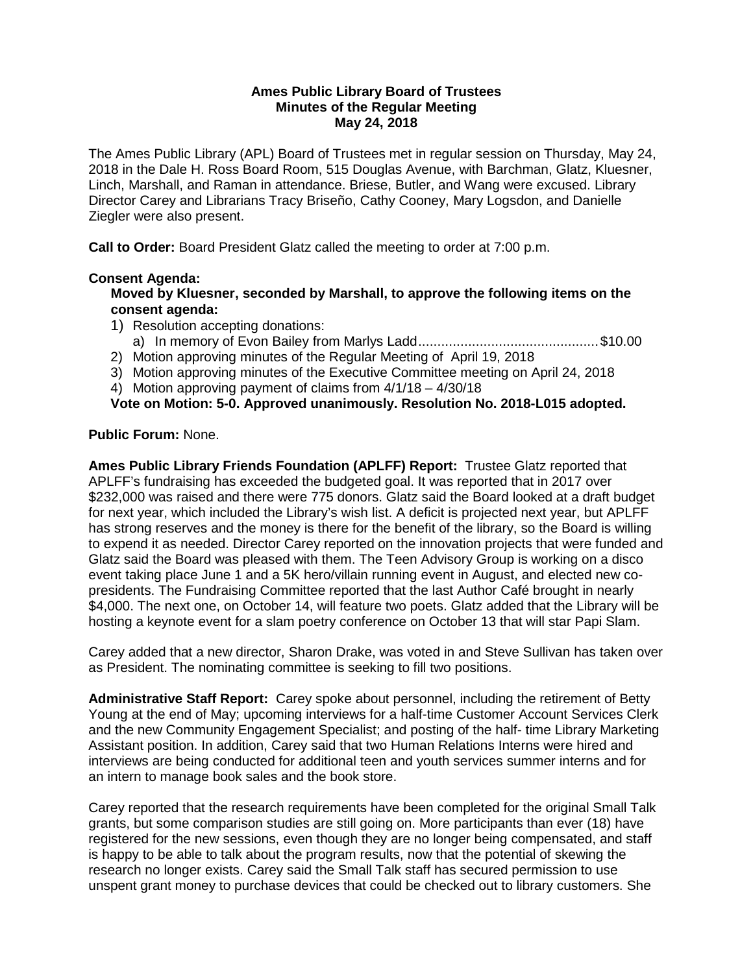#### **Ames Public Library Board of Trustees Minutes of the Regular Meeting May 24, 2018**

The Ames Public Library (APL) Board of Trustees met in regular session on Thursday, May 24, 2018 in the Dale H. Ross Board Room, 515 Douglas Avenue, with Barchman, Glatz, Kluesner, Linch, Marshall, and Raman in attendance. Briese, Butler, and Wang were excused. Library Director Carey and Librarians Tracy Briseño, Cathy Cooney, Mary Logsdon, and Danielle Ziegler were also present.

**Call to Order:** Board President Glatz called the meeting to order at 7:00 p.m.

## **Consent Agenda:**

**Moved by Kluesner, seconded by Marshall, to approve the following items on the consent agenda:**

- 1) Resolution accepting donations:
	- a) In memory of Evon Bailey from Marlys Ladd............................................... \$10.00
- 2) Motion approving minutes of the Regular Meeting of April 19, 2018
- 3) Motion approving minutes of the Executive Committee meeting on April 24, 2018

4) Motion approving payment of claims from 4/1/18 – 4/30/18

**Vote on Motion: 5-0. Approved unanimously. Resolution No. 2018-L015 adopted.**

## **Public Forum:** None.

**Ames Public Library Friends Foundation (APLFF) Report:** Trustee Glatz reported that APLFF's fundraising has exceeded the budgeted goal. It was reported that in 2017 over \$232,000 was raised and there were 775 donors. Glatz said the Board looked at a draft budget for next year, which included the Library's wish list. A deficit is projected next year, but APLFF has strong reserves and the money is there for the benefit of the library, so the Board is willing to expend it as needed. Director Carey reported on the innovation projects that were funded and Glatz said the Board was pleased with them. The Teen Advisory Group is working on a disco event taking place June 1 and a 5K hero/villain running event in August, and elected new copresidents. The Fundraising Committee reported that the last Author Café brought in nearly \$4,000. The next one, on October 14, will feature two poets. Glatz added that the Library will be hosting a keynote event for a slam poetry conference on October 13 that will star Papi Slam.

Carey added that a new director, Sharon Drake, was voted in and Steve Sullivan has taken over as President. The nominating committee is seeking to fill two positions.

**Administrative Staff Report:** Carey spoke about personnel, including the retirement of Betty Young at the end of May; upcoming interviews for a half-time Customer Account Services Clerk and the new Community Engagement Specialist; and posting of the half- time Library Marketing Assistant position. In addition, Carey said that two Human Relations Interns were hired and interviews are being conducted for additional teen and youth services summer interns and for an intern to manage book sales and the book store.

Carey reported that the research requirements have been completed for the original Small Talk grants, but some comparison studies are still going on. More participants than ever (18) have registered for the new sessions, even though they are no longer being compensated, and staff is happy to be able to talk about the program results, now that the potential of skewing the research no longer exists. Carey said the Small Talk staff has secured permission to use unspent grant money to purchase devices that could be checked out to library customers. She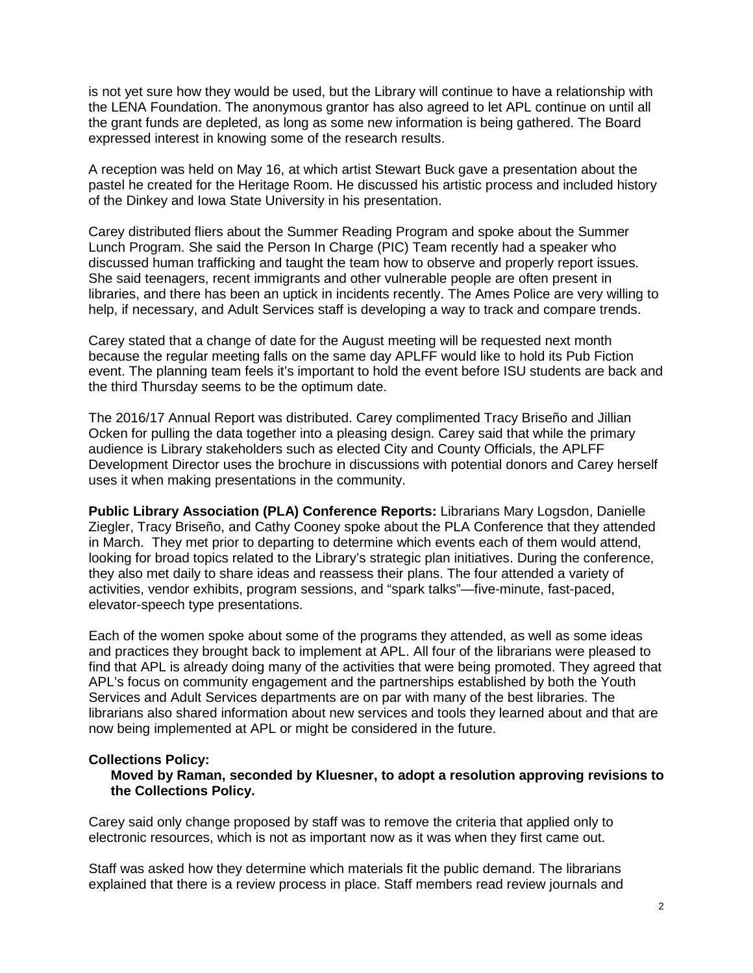is not yet sure how they would be used, but the Library will continue to have a relationship with the LENA Foundation. The anonymous grantor has also agreed to let APL continue on until all the grant funds are depleted, as long as some new information is being gathered. The Board expressed interest in knowing some of the research results.

A reception was held on May 16, at which artist Stewart Buck gave a presentation about the pastel he created for the Heritage Room. He discussed his artistic process and included history of the Dinkey and Iowa State University in his presentation.

Carey distributed fliers about the Summer Reading Program and spoke about the Summer Lunch Program. She said the Person In Charge (PIC) Team recently had a speaker who discussed human trafficking and taught the team how to observe and properly report issues. She said teenagers, recent immigrants and other vulnerable people are often present in libraries, and there has been an uptick in incidents recently. The Ames Police are very willing to help, if necessary, and Adult Services staff is developing a way to track and compare trends.

Carey stated that a change of date for the August meeting will be requested next month because the regular meeting falls on the same day APLFF would like to hold its Pub Fiction event. The planning team feels it's important to hold the event before ISU students are back and the third Thursday seems to be the optimum date.

The 2016/17 Annual Report was distributed. Carey complimented Tracy Briseño and Jillian Ocken for pulling the data together into a pleasing design. Carey said that while the primary audience is Library stakeholders such as elected City and County Officials, the APLFF Development Director uses the brochure in discussions with potential donors and Carey herself uses it when making presentations in the community.

**Public Library Association (PLA) Conference Reports:** Librarians Mary Logsdon, Danielle Ziegler, Tracy Briseño, and Cathy Cooney spoke about the PLA Conference that they attended in March. They met prior to departing to determine which events each of them would attend, looking for broad topics related to the Library's strategic plan initiatives. During the conference, they also met daily to share ideas and reassess their plans. The four attended a variety of activities, vendor exhibits, program sessions, and "spark talks"—five-minute, fast-paced, elevator-speech type presentations.

Each of the women spoke about some of the programs they attended, as well as some ideas and practices they brought back to implement at APL. All four of the librarians were pleased to find that APL is already doing many of the activities that were being promoted. They agreed that APL's focus on community engagement and the partnerships established by both the Youth Services and Adult Services departments are on par with many of the best libraries. The librarians also shared information about new services and tools they learned about and that are now being implemented at APL or might be considered in the future.

#### **Collections Policy:**

**Moved by Raman, seconded by Kluesner, to adopt a resolution approving revisions to the Collections Policy.**

Carey said only change proposed by staff was to remove the criteria that applied only to electronic resources, which is not as important now as it was when they first came out.

Staff was asked how they determine which materials fit the public demand. The librarians explained that there is a review process in place. Staff members read review journals and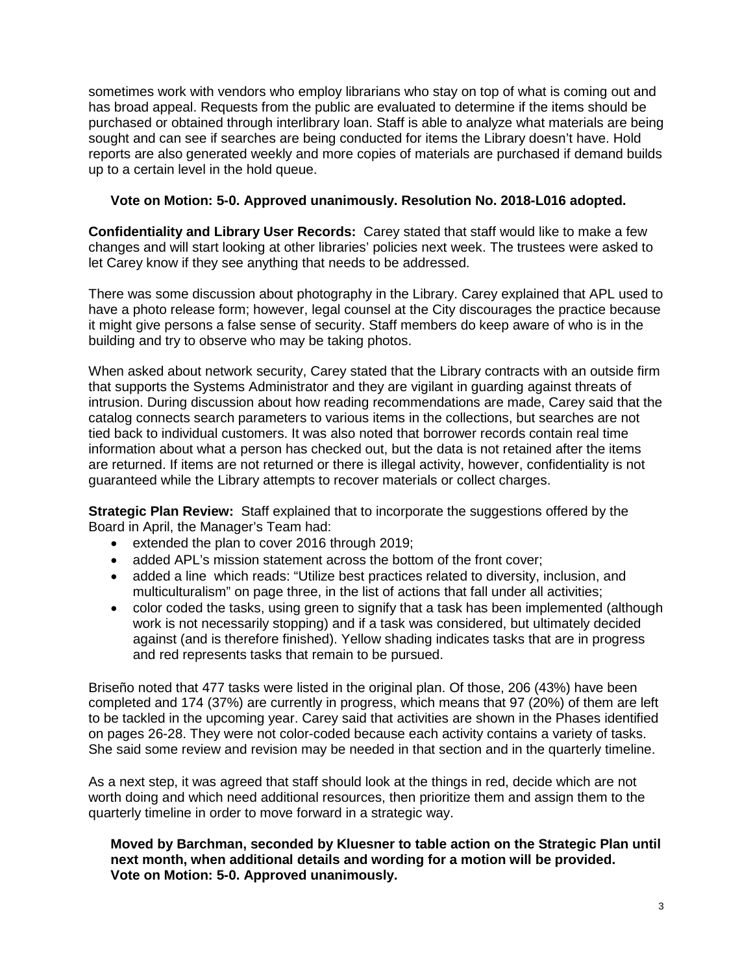sometimes work with vendors who employ librarians who stay on top of what is coming out and has broad appeal. Requests from the public are evaluated to determine if the items should be purchased or obtained through interlibrary loan. Staff is able to analyze what materials are being sought and can see if searches are being conducted for items the Library doesn't have. Hold reports are also generated weekly and more copies of materials are purchased if demand builds up to a certain level in the hold queue.

## **Vote on Motion: 5-0. Approved unanimously. Resolution No. 2018-L016 adopted.**

**Confidentiality and Library User Records:** Carey stated that staff would like to make a few changes and will start looking at other libraries' policies next week. The trustees were asked to let Carey know if they see anything that needs to be addressed.

There was some discussion about photography in the Library. Carey explained that APL used to have a photo release form; however, legal counsel at the City discourages the practice because it might give persons a false sense of security. Staff members do keep aware of who is in the building and try to observe who may be taking photos.

When asked about network security, Carey stated that the Library contracts with an outside firm that supports the Systems Administrator and they are vigilant in guarding against threats of intrusion. During discussion about how reading recommendations are made, Carey said that the catalog connects search parameters to various items in the collections, but searches are not tied back to individual customers. It was also noted that borrower records contain real time information about what a person has checked out, but the data is not retained after the items are returned. If items are not returned or there is illegal activity, however, confidentiality is not guaranteed while the Library attempts to recover materials or collect charges.

**Strategic Plan Review:** Staff explained that to incorporate the suggestions offered by the Board in April, the Manager's Team had:

- extended the plan to cover 2016 through 2019;
- added APL's mission statement across the bottom of the front cover;
- added a line which reads: "Utilize best practices related to diversity, inclusion, and multiculturalism" on page three, in the list of actions that fall under all activities;
- color coded the tasks, using green to signify that a task has been implemented (although work is not necessarily stopping) and if a task was considered, but ultimately decided against (and is therefore finished). Yellow shading indicates tasks that are in progress and red represents tasks that remain to be pursued.

Briseño noted that 477 tasks were listed in the original plan. Of those, 206 (43%) have been completed and 174 (37%) are currently in progress, which means that 97 (20%) of them are left to be tackled in the upcoming year. Carey said that activities are shown in the Phases identified on pages 26-28. They were not color-coded because each activity contains a variety of tasks. She said some review and revision may be needed in that section and in the quarterly timeline.

As a next step, it was agreed that staff should look at the things in red, decide which are not worth doing and which need additional resources, then prioritize them and assign them to the quarterly timeline in order to move forward in a strategic way.

**Moved by Barchman, seconded by Kluesner to table action on the Strategic Plan until next month, when additional details and wording for a motion will be provided. Vote on Motion: 5-0. Approved unanimously.**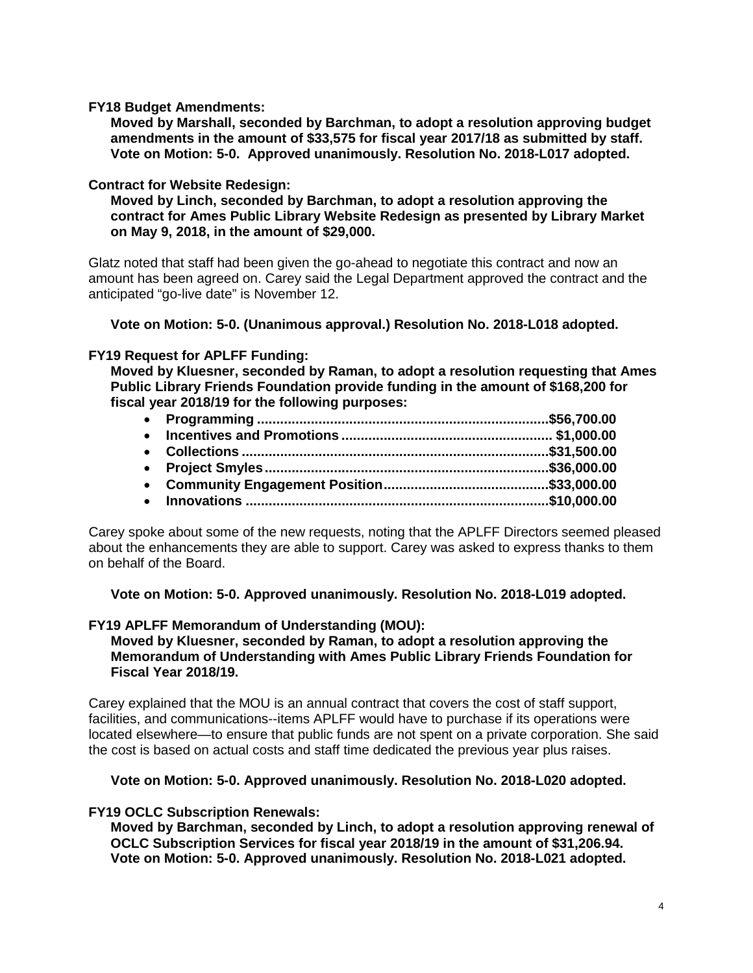**FY18 Budget Amendments:**

**Moved by Marshall, seconded by Barchman, to adopt a resolution approving budget amendments in the amount of \$33,575 for fiscal year 2017/18 as submitted by staff. Vote on Motion: 5-0. Approved unanimously. Resolution No. 2018-L017 adopted.**

## **Contract for Website Redesign:**

**Moved by Linch, seconded by Barchman, to adopt a resolution approving the contract for Ames Public Library Website Redesign as presented by Library Market on May 9, 2018, in the amount of \$29,000.**

Glatz noted that staff had been given the go-ahead to negotiate this contract and now an amount has been agreed on. Carey said the Legal Department approved the contract and the anticipated "go-live date" is November 12.

**Vote on Motion: 5-0. (Unanimous approval.) Resolution No. 2018-L018 adopted.**

# **FY19 Request for APLFF Funding:**

**Moved by Kluesner, seconded by Raman, to adopt a resolution requesting that Ames Public Library Friends Foundation provide funding in the amount of \$168,200 for fiscal year 2018/19 for the following purposes:**

Carey spoke about some of the new requests, noting that the APLFF Directors seemed pleased about the enhancements they are able to support. Carey was asked to express thanks to them on behalf of the Board.

**Vote on Motion: 5-0. Approved unanimously. Resolution No. 2018-L019 adopted.**

# **FY19 APLFF Memorandum of Understanding (MOU):**

**Moved by Kluesner, seconded by Raman, to adopt a resolution approving the Memorandum of Understanding with Ames Public Library Friends Foundation for Fiscal Year 2018/19.**

Carey explained that the MOU is an annual contract that covers the cost of staff support, facilities, and communications--items APLFF would have to purchase if its operations were located elsewhere—to ensure that public funds are not spent on a private corporation. She said the cost is based on actual costs and staff time dedicated the previous year plus raises.

#### **Vote on Motion: 5-0. Approved unanimously. Resolution No. 2018-L020 adopted.**

# **FY19 OCLC Subscription Renewals:**

**Moved by Barchman, seconded by Linch, to adopt a resolution approving renewal of OCLC Subscription Services for fiscal year 2018/19 in the amount of \$31,206.94. Vote on Motion: 5-0. Approved unanimously. Resolution No. 2018-L021 adopted.**